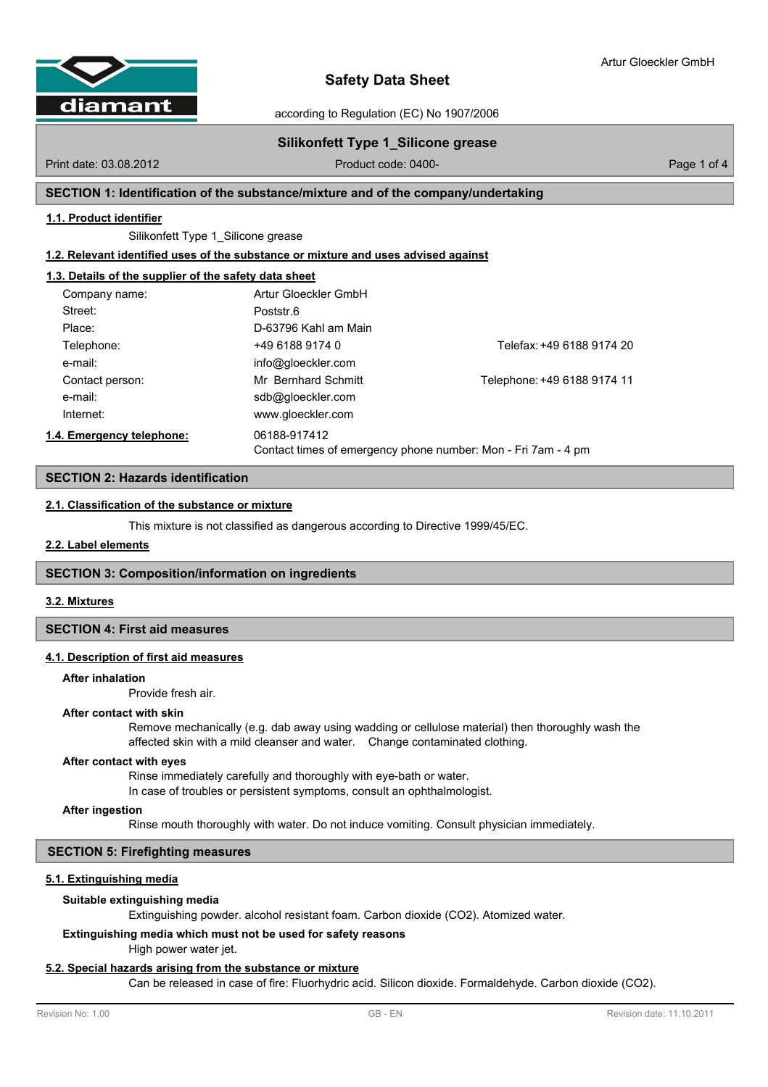

according to Regulation (EC) No 1907/2006

# **Silikonfett Type 1\_Silicone grease**

Print date: 03.08.2012 **Product code: 0400-** Product code: 0400- Page 1 of 4

# **SECTION 1: Identification of the substance/mixture and of the company/undertaking**

### **1.1. Product identifier**

Silikonfett Type 1\_Silicone grease

**1.2. Relevant identified uses of the substance or mixture and uses advised against**

# **1.3. Details of the supplier of the safety data sheet**

| Company name:             | Artur Gloeckler GmbH                                                          |                             |
|---------------------------|-------------------------------------------------------------------------------|-----------------------------|
| Street:                   | Poststr.6                                                                     |                             |
| Place:                    | D-63796 Kahl am Main                                                          |                             |
| Telephone:                | +49 6188 9174 0                                                               | Telefax: +49 6188 9174 20   |
| e-mail:                   | info@gloeckler.com                                                            |                             |
| Contact person:           | Mr Bernhard Schmitt                                                           | Telephone: +49 6188 9174 11 |
| e-mail:                   | sdb@gloeckler.com                                                             |                             |
| Internet:                 | www.gloeckler.com                                                             |                             |
| 1.4. Emergency telephone: | 06188-917412<br>Contact times of emergency phone number: Mon - Fri 7am - 4 pm |                             |

## **SECTION 2: Hazards identification**

# **2.1. Classification of the substance or mixture**

This mixture is not classified as dangerous according to Directive 1999/45/EC.

### **2.2. Label elements**

# **SECTION 3: Composition/information on ingredients**

### **3.2. Mixtures**

### **SECTION 4: First aid measures**

### **4.1. Description of first aid measures**

#### **After inhalation**

Provide fresh air.

#### **After contact with skin**

Remove mechanically (e.g. dab away using wadding or cellulose material) then thoroughly wash the affected skin with a mild cleanser and water. Change contaminated clothing.

#### **After contact with eyes**

Rinse immediately carefully and thoroughly with eye-bath or water. In case of troubles or persistent symptoms, consult an ophthalmologist.

#### **After ingestion**

Rinse mouth thoroughly with water. Do not induce vomiting. Consult physician immediately.

# **SECTION 5: Firefighting measures**

# **5.1. Extinguishing media**

#### **Suitable extinguishing media**

Extinguishing powder. alcohol resistant foam. Carbon dioxide (CO2). Atomized water.

# **Extinguishing media which must not be used for safety reasons**

High power water jet.

#### **5.2. Special hazards arising from the substance or mixture**

Can be released in case of fire: Fluorhydric acid. Silicon dioxide. Formaldehyde. Carbon dioxide (CO2).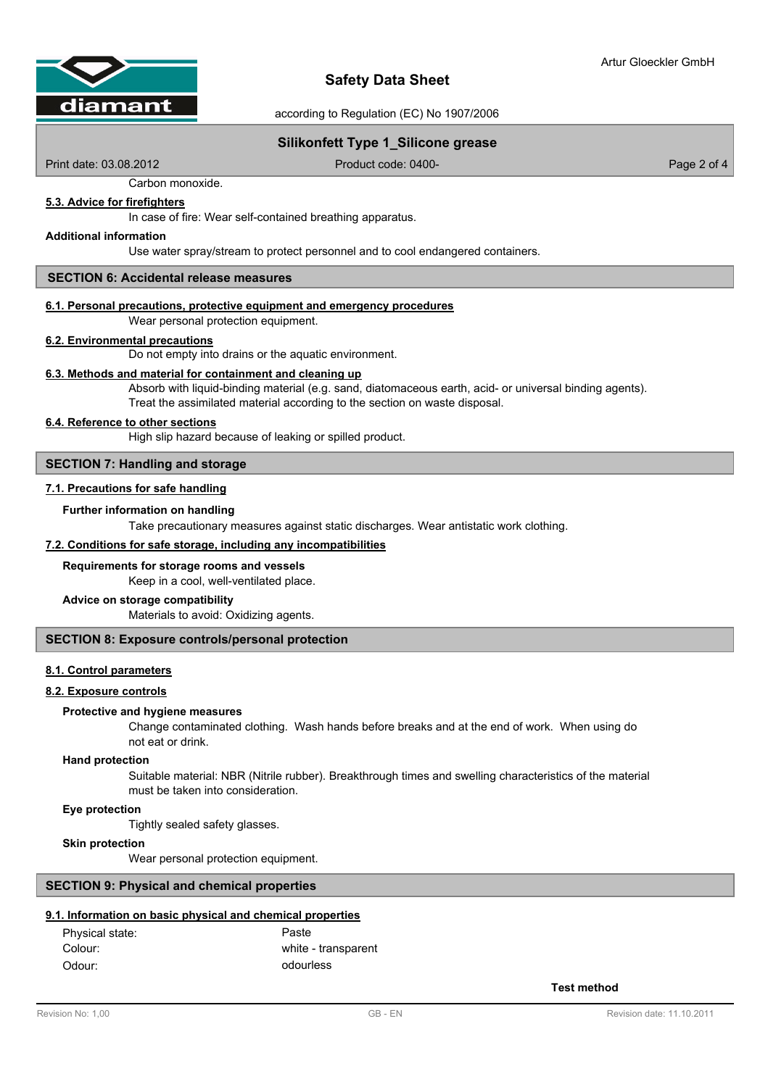

according to Regulation (EC) No 1907/2006

# **Silikonfett Type 1\_Silicone grease**

Print date: 03.08.2012 Product code: 0400- Product code: 0400- Page 2 of 4

Carbon monoxide.

# **5.3. Advice for firefighters**

In case of fire: Wear self-contained breathing apparatus.

## **Additional information**

Use water spray/stream to protect personnel and to cool endangered containers.

# **SECTION 6: Accidental release measures**

# **6.1. Personal precautions, protective equipment and emergency procedures**

Wear personal protection equipment.

#### **6.2. Environmental precautions**

Do not empty into drains or the aquatic environment.

# **6.3. Methods and material for containment and cleaning up**

Absorb with liquid-binding material (e.g. sand, diatomaceous earth, acid- or universal binding agents). Treat the assimilated material according to the section on waste disposal.

# **6.4. Reference to other sections**

High slip hazard because of leaking or spilled product.

### **SECTION 7: Handling and storage**

#### **7.1. Precautions for safe handling**

#### **Further information on handling**

Take precautionary measures against static discharges. Wear antistatic work clothing.

# **7.2. Conditions for safe storage, including any incompatibilities**

#### **Requirements for storage rooms and vessels**

Keep in a cool, well-ventilated place.

#### **Advice on storage compatibility**

Materials to avoid: Oxidizing agents.

# **SECTION 8: Exposure controls/personal protection**

## **8.1. Control parameters**

### **8.2. Exposure controls**

#### **Protective and hygiene measures**

Change contaminated clothing. Wash hands before breaks and at the end of work. When using do not eat or drink.

#### **Hand protection**

Suitable material: NBR (Nitrile rubber). Breakthrough times and swelling characteristics of the material must be taken into consideration.

#### **Eye protection**

Tightly sealed safety glasses.

#### **Skin protection**

Wear personal protection equipment.

# **SECTION 9: Physical and chemical properties**

# **9.1. Information on basic physical and chemical properties**

| Physical state: | Paste               |
|-----------------|---------------------|
| Colour:         | white - transparent |
| Odour:          | odourless           |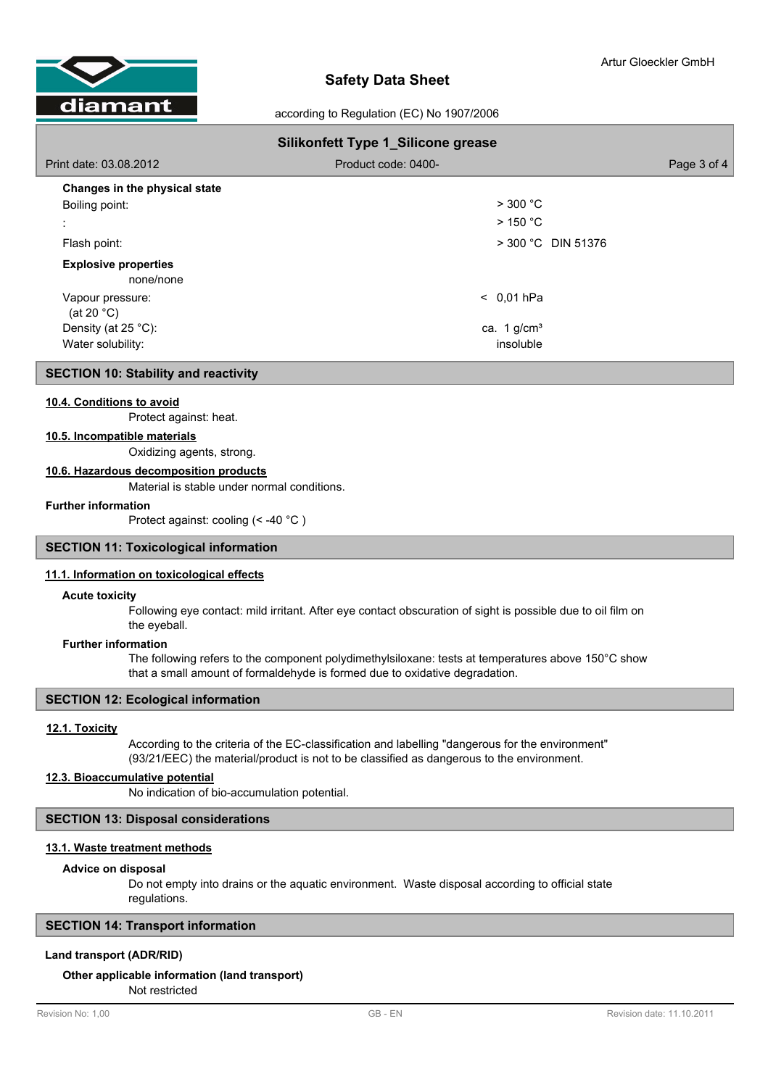

according to Regulation (EC) No 1907/2006

| <b>Silikonfett Type 1_Silicone grease</b> |                           |             |  |
|-------------------------------------------|---------------------------|-------------|--|
| Print date: 03.08.2012                    | Product code: 0400-       | Page 3 of 4 |  |
| Changes in the physical state             |                           |             |  |
| Boiling point:                            | $>$ 300 °C                |             |  |
|                                           | $>$ 150 °C                |             |  |
| Flash point:                              | $>$ 300 °C DIN 51376      |             |  |
| <b>Explosive properties</b><br>none/none  |                           |             |  |
| Vapour pressure:<br>(at 20 $°C$ )         | $< 0.01$ hPa              |             |  |
| Density (at $25^{\circ}$ C):              | ca. $1$ g/cm <sup>3</sup> |             |  |
| Water solubility:                         | insoluble                 |             |  |

### **SECTION 10: Stability and reactivity**

#### **10.4. Conditions to avoid**

Protect against: heat.

#### **10.5. Incompatible materials**

Oxidizing agents, strong.

#### **10.6. Hazardous decomposition products**

Material is stable under normal conditions.

# **Further information**

Protect against: cooling (< -40 °C )

# **SECTION 11: Toxicological information**

### **11.1. Information on toxicological effects**

#### **Acute toxicity**

Following eye contact: mild irritant. After eye contact obscuration of sight is possible due to oil film on the eyeball.

# **Further information**

The following refers to the component polydimethylsiloxane: tests at temperatures above 150°C show that a small amount of formaldehyde is formed due to oxidative degradation.

# **SECTION 12: Ecological information**

# **12.1. Toxicity**

According to the criteria of the EC-classification and labelling "dangerous for the environment" (93/21/EEC) the material/product is not to be classified as dangerous to the environment.

# **12.3. Bioaccumulative potential**

No indication of bio-accumulation potential.

# **SECTION 13: Disposal considerations**

### **13.1. Waste treatment methods**

#### **Advice on disposal**

Do not empty into drains or the aquatic environment. Waste disposal according to official state regulations.

### **SECTION 14: Transport information**

# **Land transport (ADR/RID)**

### **Other applicable information (land transport)**

Not restricted